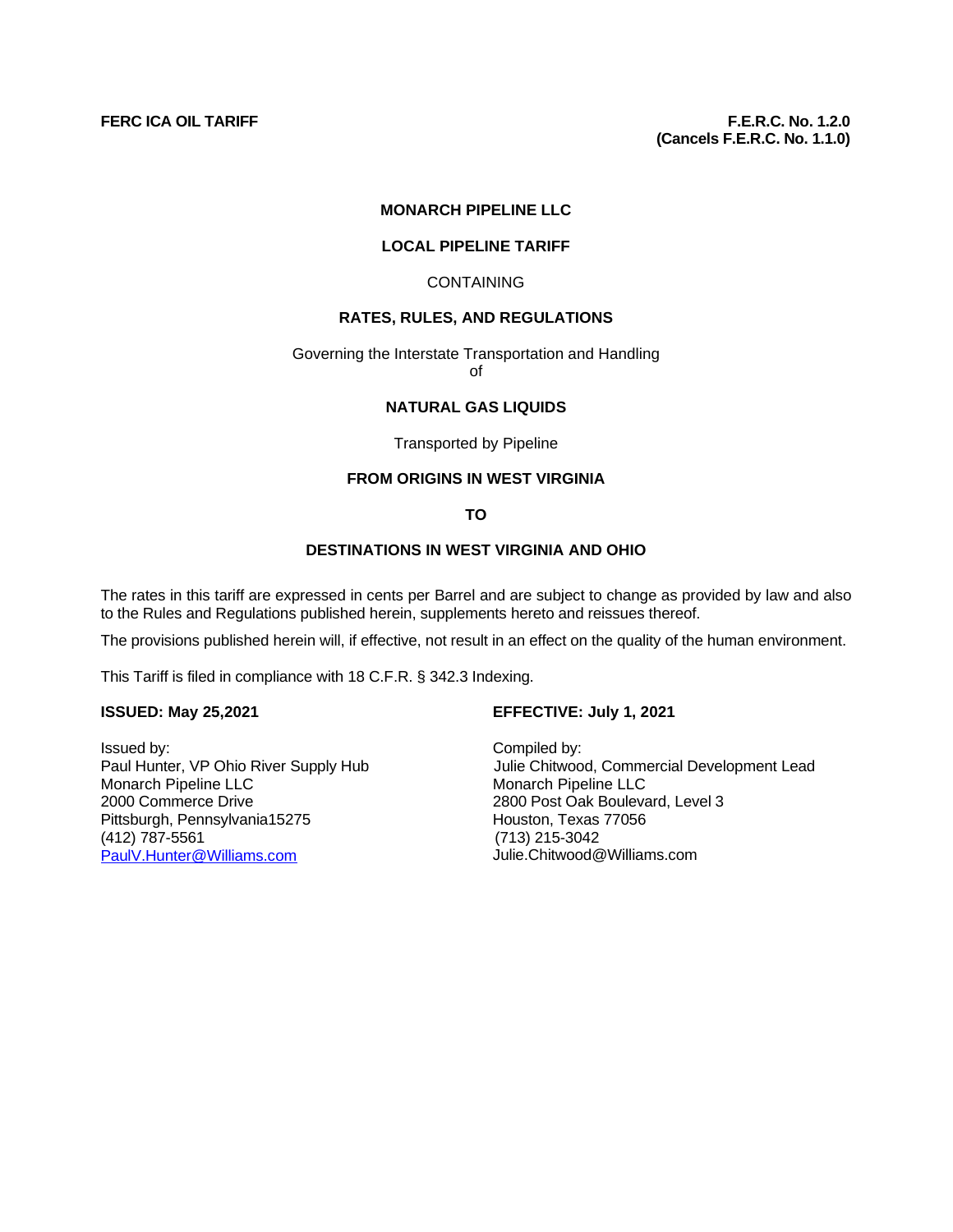#### **MONARCH PIPELINE LLC**

#### **LOCAL PIPELINE TARIFF**

#### CONTAINING

## **RATES, RULES, AND REGULATIONS**

# Governing the Interstate Transportation and Handling

of

#### **NATURAL GAS LIQUIDS**

#### Transported by Pipeline

# **FROM ORIGINS IN WEST VIRGINIA**

## **TO**

## **DESTINATIONS IN WEST VIRGINIA AND OHIO**

The rates in this tariff are expressed in cents per Barrel and are subject to change as provided by law and also to the Rules and Regulations published herein, supplements hereto and reissues thereof.

The provisions published herein will, if effective, not result in an effect on the quality of the human environment.

This Tariff is filed in compliance with 18 C.F.R. § 342.3 Indexing.

Issued by: <br>
Paul Hunter, VP Ohio River Supply Hub **Fraul Hunter**, VP Ohio River Supply Hub Monarch Pipeline LLC Monarch Pipeline LLC 2000 Commerce Drive<br>
2800 Post Oak Boulevard, Level 3<br>
2800 Post Oak Boulevard, Level 3<br>
2800 Post Oak Boulevard, Level 3 Pittsburgh, Pennsylvania15275 Houston, Texas 787-5561 Houston, Texas 787-5561 (412) 787-5561 (713) 215-3042 [PaulV.Hunter@Williams.com](mailto:PaulV.Hunter@Williams.com)

# **ISSUED: May 25,2021 EFFECTIVE: July 1, 2021**

Julie Chitwood, Commercial Development Lead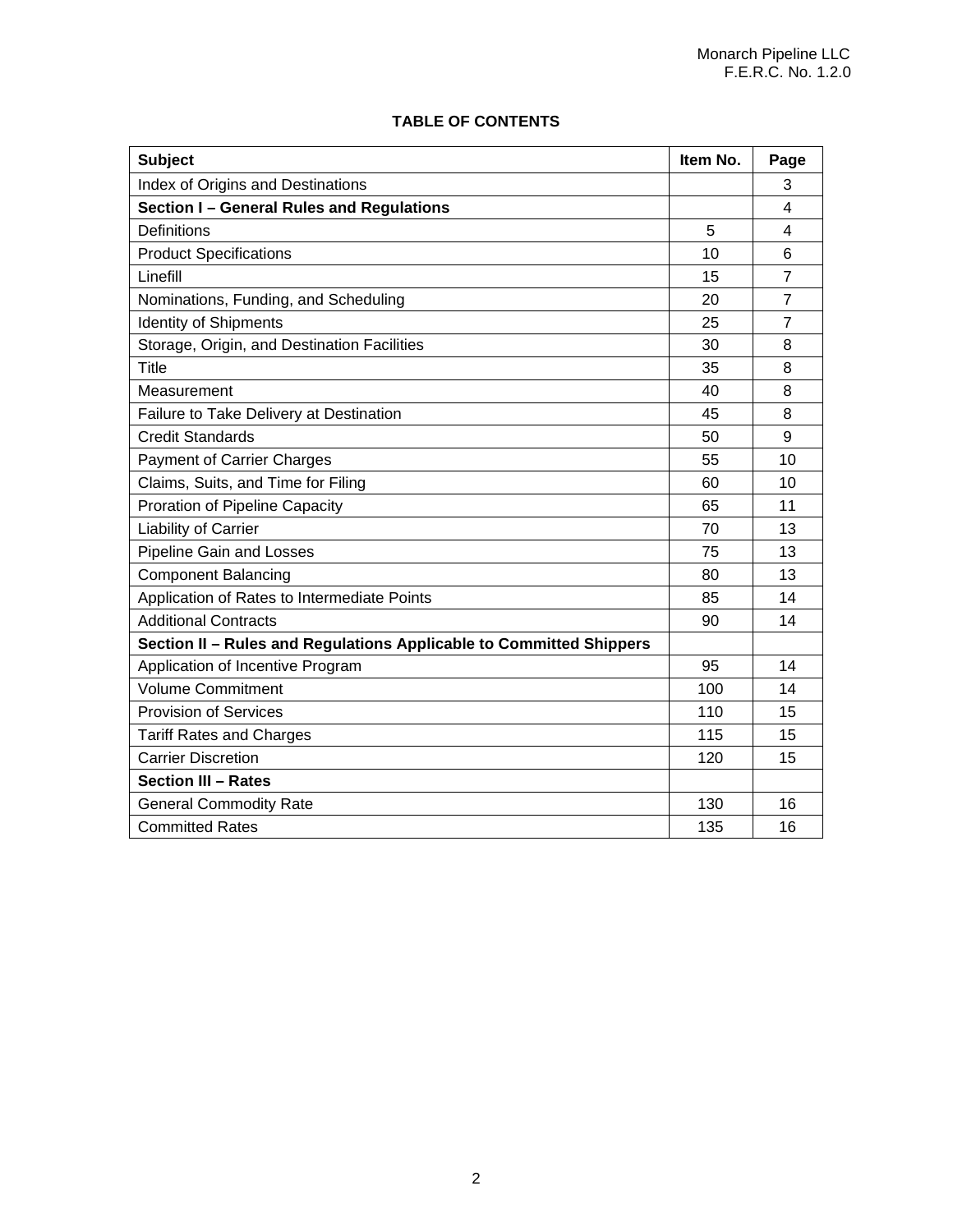| <b>Subject</b>                                                      | Item No. | Page                    |
|---------------------------------------------------------------------|----------|-------------------------|
| Index of Origins and Destinations                                   |          | 3                       |
| Section I - General Rules and Regulations                           |          | 4                       |
| <b>Definitions</b>                                                  | 5        | $\overline{\mathbf{4}}$ |
| <b>Product Specifications</b>                                       | 10       | 6                       |
| Linefill                                                            | 15       | $\overline{7}$          |
| Nominations, Funding, and Scheduling                                | 20       | $\overline{7}$          |
| <b>Identity of Shipments</b>                                        | 25       | 7                       |
| Storage, Origin, and Destination Facilities                         | 30       | 8                       |
| Title                                                               | 35       | 8                       |
| Measurement                                                         | 40       | 8                       |
| Failure to Take Delivery at Destination                             | 45       | 8                       |
| <b>Credit Standards</b>                                             | 50       | 9                       |
| <b>Payment of Carrier Charges</b>                                   | 55       | 10                      |
| Claims, Suits, and Time for Filing                                  | 60       | 10                      |
| Proration of Pipeline Capacity                                      |          | 11                      |
| Liability of Carrier                                                | 70       | 13                      |
| <b>Pipeline Gain and Losses</b>                                     | 75       | 13                      |
| <b>Component Balancing</b>                                          | 80       | 13                      |
| Application of Rates to Intermediate Points                         |          | 14                      |
| <b>Additional Contracts</b>                                         | 90       | 14                      |
| Section II - Rules and Regulations Applicable to Committed Shippers |          |                         |
| Application of Incentive Program                                    | 95       | 14                      |
| <b>Volume Commitment</b>                                            |          | 14                      |
| <b>Provision of Services</b>                                        |          | 15                      |
| <b>Tariff Rates and Charges</b>                                     | 115      | 15                      |
| <b>Carrier Discretion</b>                                           | 120      | 15                      |
| <b>Section III - Rates</b>                                          |          |                         |
| <b>General Commodity Rate</b>                                       | 130      | 16                      |
| <b>Committed Rates</b>                                              | 135      | 16                      |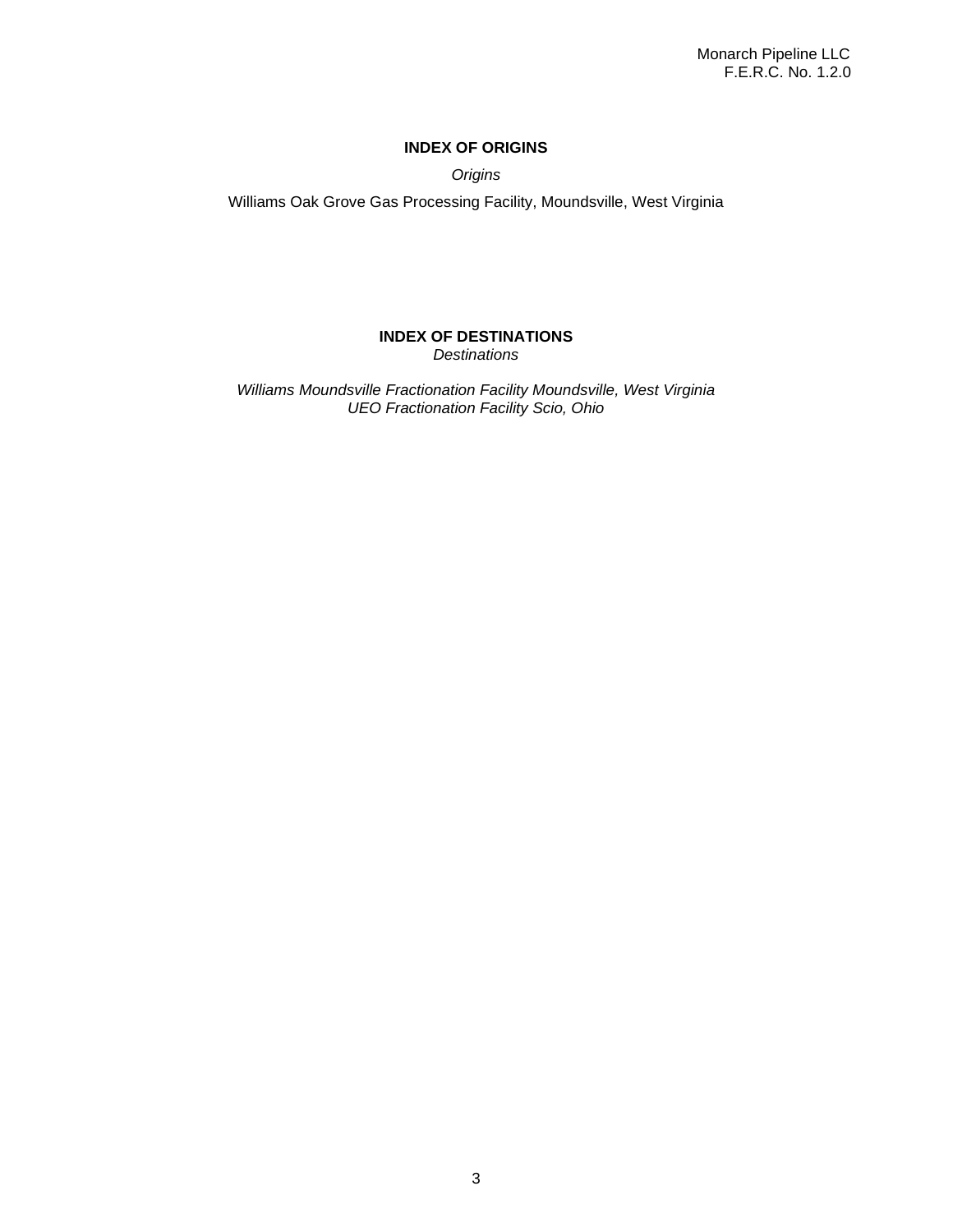# **INDEX OF ORIGINS**

*Origins*

Williams Oak Grove Gas Processing Facility, Moundsville, West Virginia

## **INDEX OF DESTINATIONS** *Destinations*

*Williams Moundsville Fractionation Facility Moundsville, West Virginia UEO Fractionation Facility Scio, Ohio*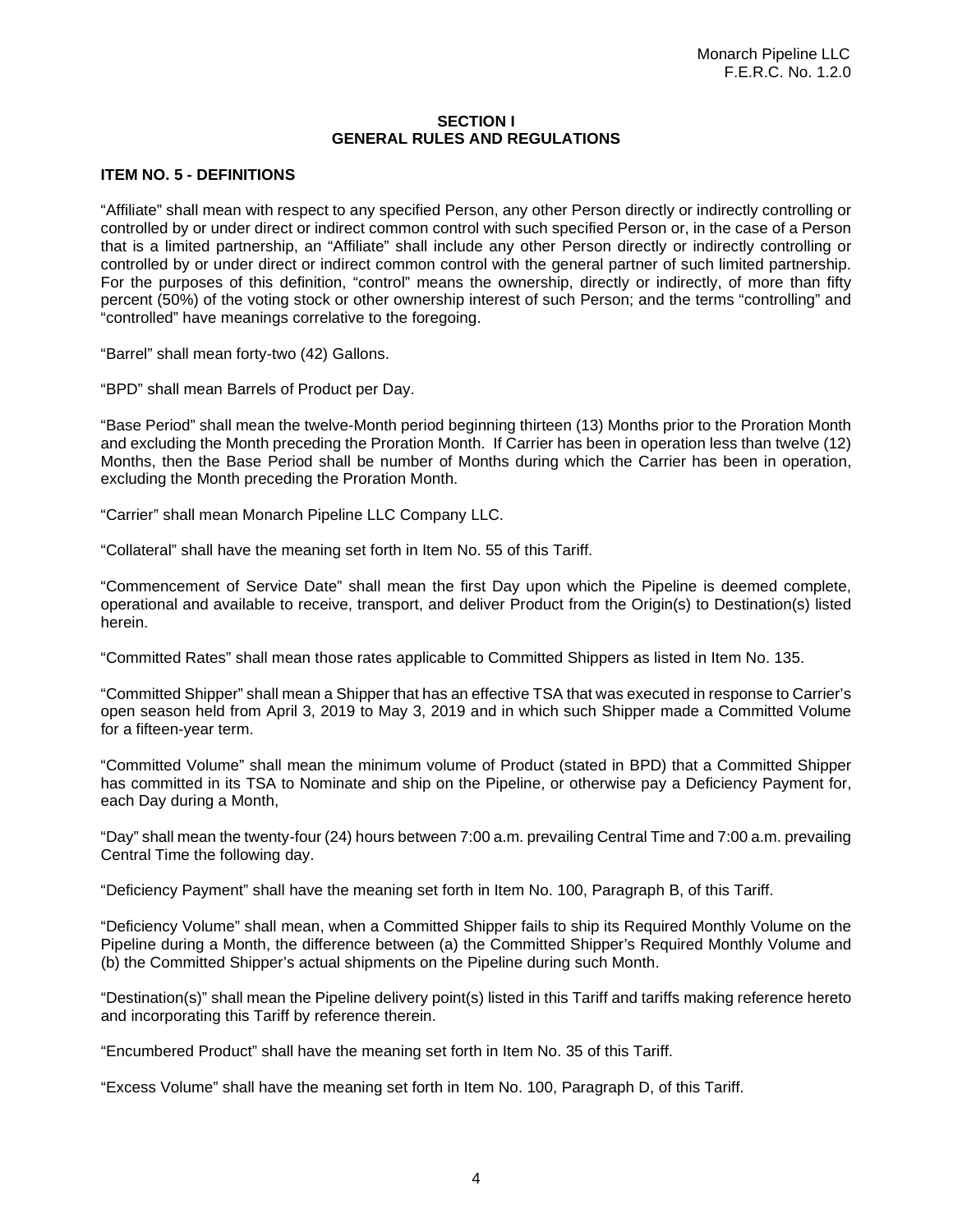## **SECTION I GENERAL RULES AND REGULATIONS**

## **ITEM NO. 5 - DEFINITIONS**

"Affiliate" shall mean with respect to any specified Person, any other Person directly or indirectly controlling or controlled by or under direct or indirect common control with such specified Person or, in the case of a Person that is a limited partnership, an "Affiliate" shall include any other Person directly or indirectly controlling or controlled by or under direct or indirect common control with the general partner of such limited partnership. For the purposes of this definition, "control" means the ownership, directly or indirectly, of more than fifty percent (50%) of the voting stock or other ownership interest of such Person; and the terms "controlling" and "controlled" have meanings correlative to the foregoing.

"Barrel" shall mean forty-two (42) Gallons.

"BPD" shall mean Barrels of Product per Day.

"Base Period" shall mean the twelve-Month period beginning thirteen (13) Months prior to the Proration Month and excluding the Month preceding the Proration Month. If Carrier has been in operation less than twelve (12) Months, then the Base Period shall be number of Months during which the Carrier has been in operation, excluding the Month preceding the Proration Month.

"Carrier" shall mean Monarch Pipeline LLC Company LLC.

"Collateral" shall have the meaning set forth in Item No. 55 of this Tariff.

"Commencement of Service Date" shall mean the first Day upon which the Pipeline is deemed complete, operational and available to receive, transport, and deliver Product from the Origin(s) to Destination(s) listed herein.

"Committed Rates" shall mean those rates applicable to Committed Shippers as listed in Item No. 135.

"Committed Shipper" shall mean a Shipper that has an effective TSA that was executed in response to Carrier's open season held from April 3, 2019 to May 3, 2019 and in which such Shipper made a Committed Volume for a fifteen-year term.

"Committed Volume" shall mean the minimum volume of Product (stated in BPD) that a Committed Shipper has committed in its TSA to Nominate and ship on the Pipeline, or otherwise pay a Deficiency Payment for, each Day during a Month,

"Day" shall mean the twenty-four (24) hours between 7:00 a.m. prevailing Central Time and 7:00 a.m. prevailing Central Time the following day.

"Deficiency Payment" shall have the meaning set forth in Item No. 100, Paragraph B, of this Tariff.

"Deficiency Volume" shall mean, when a Committed Shipper fails to ship its Required Monthly Volume on the Pipeline during a Month, the difference between (a) the Committed Shipper's Required Monthly Volume and (b) the Committed Shipper's actual shipments on the Pipeline during such Month.

"Destination(s)" shall mean the Pipeline delivery point(s) listed in this Tariff and tariffs making reference hereto and incorporating this Tariff by reference therein.

"Encumbered Product" shall have the meaning set forth in Item No. 35 of this Tariff.

"Excess Volume" shall have the meaning set forth in Item No. 100, Paragraph D, of this Tariff.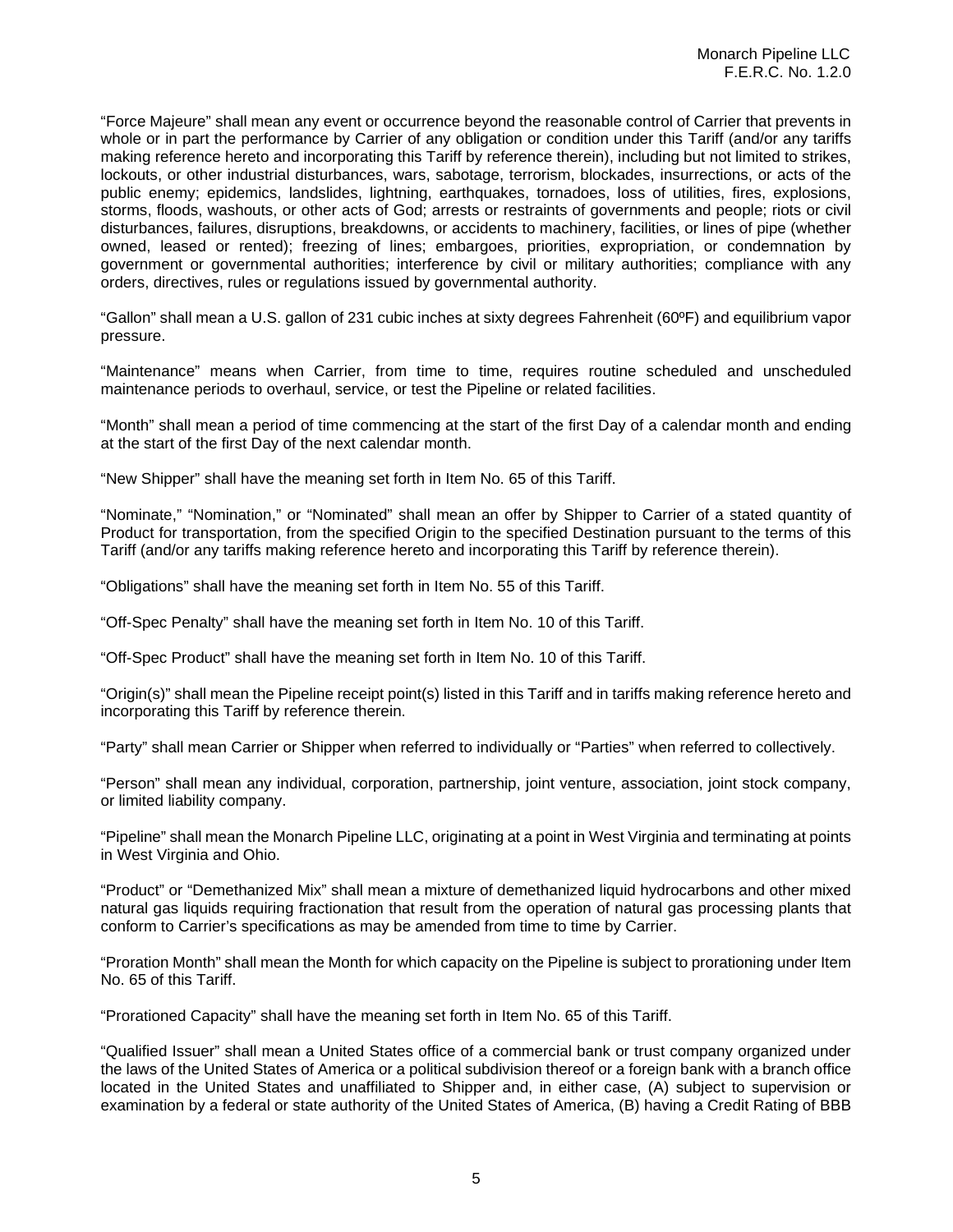"Force Majeure" shall mean any event or occurrence beyond the reasonable control of Carrier that prevents in whole or in part the performance by Carrier of any obligation or condition under this Tariff (and/or any tariffs making reference hereto and incorporating this Tariff by reference therein), including but not limited to strikes, lockouts, or other industrial disturbances, wars, sabotage, terrorism, blockades, insurrections, or acts of the public enemy; epidemics, landslides, lightning, earthquakes, tornadoes, loss of utilities, fires, explosions, storms, floods, washouts, or other acts of God; arrests or restraints of governments and people; riots or civil disturbances, failures, disruptions, breakdowns, or accidents to machinery, facilities, or lines of pipe (whether owned, leased or rented); freezing of lines; embargoes, priorities, expropriation, or condemnation by government or governmental authorities; interference by civil or military authorities; compliance with any orders, directives, rules or regulations issued by governmental authority.

"Gallon" shall mean a U.S. gallon of 231 cubic inches at sixty degrees Fahrenheit (60ºF) and equilibrium vapor pressure.

"Maintenance" means when Carrier, from time to time, requires routine scheduled and unscheduled maintenance periods to overhaul, service, or test the Pipeline or related facilities.

"Month" shall mean a period of time commencing at the start of the first Day of a calendar month and ending at the start of the first Day of the next calendar month.

"New Shipper" shall have the meaning set forth in Item No. 65 of this Tariff.

"Nominate," "Nomination," or "Nominated" shall mean an offer by Shipper to Carrier of a stated quantity of Product for transportation, from the specified Origin to the specified Destination pursuant to the terms of this Tariff (and/or any tariffs making reference hereto and incorporating this Tariff by reference therein).

"Obligations" shall have the meaning set forth in Item No. 55 of this Tariff.

"Off-Spec Penalty" shall have the meaning set forth in Item No. 10 of this Tariff.

"Off-Spec Product" shall have the meaning set forth in Item No. 10 of this Tariff.

"Origin(s)" shall mean the Pipeline receipt point(s) listed in this Tariff and in tariffs making reference hereto and incorporating this Tariff by reference therein.

"Party" shall mean Carrier or Shipper when referred to individually or "Parties" when referred to collectively.

"Person" shall mean any individual, corporation, partnership, joint venture, association, joint stock company, or limited liability company.

"Pipeline" shall mean the Monarch Pipeline LLC, originating at a point in West Virginia and terminating at points in West Virginia and Ohio.

"Product" or "Demethanized Mix" shall mean a mixture of demethanized liquid hydrocarbons and other mixed natural gas liquids requiring fractionation that result from the operation of natural gas processing plants that conform to Carrier's specifications as may be amended from time to time by Carrier.

"Proration Month" shall mean the Month for which capacity on the Pipeline is subject to prorationing under Item No. 65 of this Tariff.

"Prorationed Capacity" shall have the meaning set forth in Item No. 65 of this Tariff.

"Qualified Issuer" shall mean a United States office of a commercial bank or trust company organized under the laws of the United States of America or a political subdivision thereof or a foreign bank with a branch office located in the United States and unaffiliated to Shipper and, in either case, (A) subject to supervision or examination by a federal or state authority of the United States of America, (B) having a Credit Rating of BBB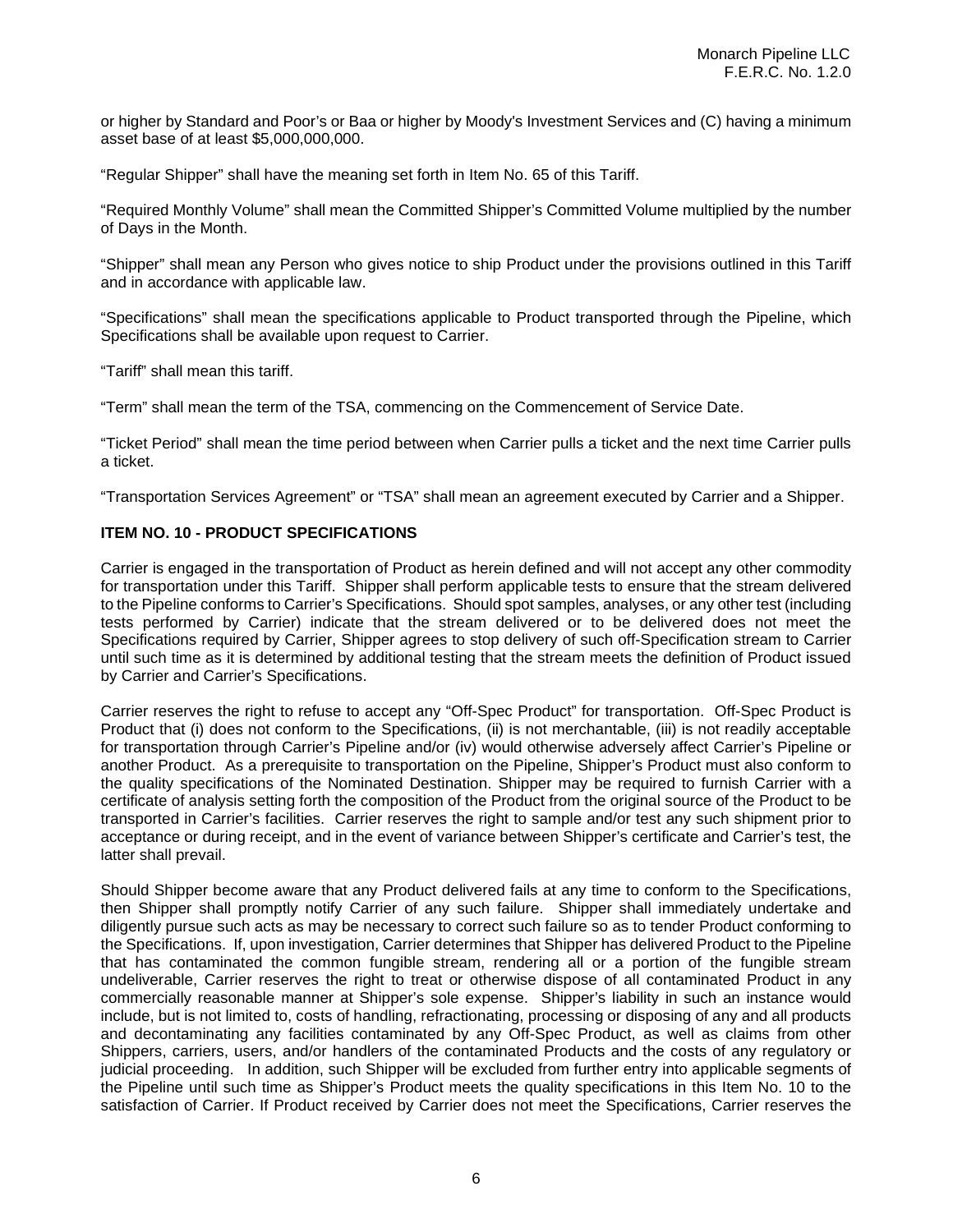or higher by Standard and Poor's or Baa or higher by Moody's Investment Services and (C) having a minimum asset base of at least \$5,000,000,000.

"Regular Shipper" shall have the meaning set forth in Item No. 65 of this Tariff.

"Required Monthly Volume" shall mean the Committed Shipper's Committed Volume multiplied by the number of Days in the Month.

"Shipper" shall mean any Person who gives notice to ship Product under the provisions outlined in this Tariff and in accordance with applicable law.

"Specifications" shall mean the specifications applicable to Product transported through the Pipeline, which Specifications shall be available upon request to Carrier.

"Tariff" shall mean this tariff.

"Term" shall mean the term of the TSA, commencing on the Commencement of Service Date.

"Ticket Period" shall mean the time period between when Carrier pulls a ticket and the next time Carrier pulls a ticket.

"Transportation Services Agreement" or "TSA" shall mean an agreement executed by Carrier and a Shipper.

# **ITEM NO. 10 - PRODUCT SPECIFICATIONS**

Carrier is engaged in the transportation of Product as herein defined and will not accept any other commodity for transportation under this Tariff. Shipper shall perform applicable tests to ensure that the stream delivered to the Pipeline conforms to Carrier's Specifications. Should spot samples, analyses, or any other test (including tests performed by Carrier) indicate that the stream delivered or to be delivered does not meet the Specifications required by Carrier, Shipper agrees to stop delivery of such off-Specification stream to Carrier until such time as it is determined by additional testing that the stream meets the definition of Product issued by Carrier and Carrier's Specifications.

Carrier reserves the right to refuse to accept any "Off-Spec Product" for transportation. Off-Spec Product is Product that (i) does not conform to the Specifications, (ii) is not merchantable, (iii) is not readily acceptable for transportation through Carrier's Pipeline and/or (iv) would otherwise adversely affect Carrier's Pipeline or another Product. As a prerequisite to transportation on the Pipeline, Shipper's Product must also conform to the quality specifications of the Nominated Destination. Shipper may be required to furnish Carrier with a certificate of analysis setting forth the composition of the Product from the original source of the Product to be transported in Carrier's facilities. Carrier reserves the right to sample and/or test any such shipment prior to acceptance or during receipt, and in the event of variance between Shipper's certificate and Carrier's test, the latter shall prevail.

Should Shipper become aware that any Product delivered fails at any time to conform to the Specifications, then Shipper shall promptly notify Carrier of any such failure. Shipper shall immediately undertake and diligently pursue such acts as may be necessary to correct such failure so as to tender Product conforming to the Specifications. If, upon investigation, Carrier determines that Shipper has delivered Product to the Pipeline that has contaminated the common fungible stream, rendering all or a portion of the fungible stream undeliverable, Carrier reserves the right to treat or otherwise dispose of all contaminated Product in any commercially reasonable manner at Shipper's sole expense. Shipper's liability in such an instance would include, but is not limited to, costs of handling, refractionating, processing or disposing of any and all products and decontaminating any facilities contaminated by any Off-Spec Product, as well as claims from other Shippers, carriers, users, and/or handlers of the contaminated Products and the costs of any regulatory or judicial proceeding. In addition, such Shipper will be excluded from further entry into applicable segments of the Pipeline until such time as Shipper's Product meets the quality specifications in this Item No. 10 to the satisfaction of Carrier. If Product received by Carrier does not meet the Specifications, Carrier reserves the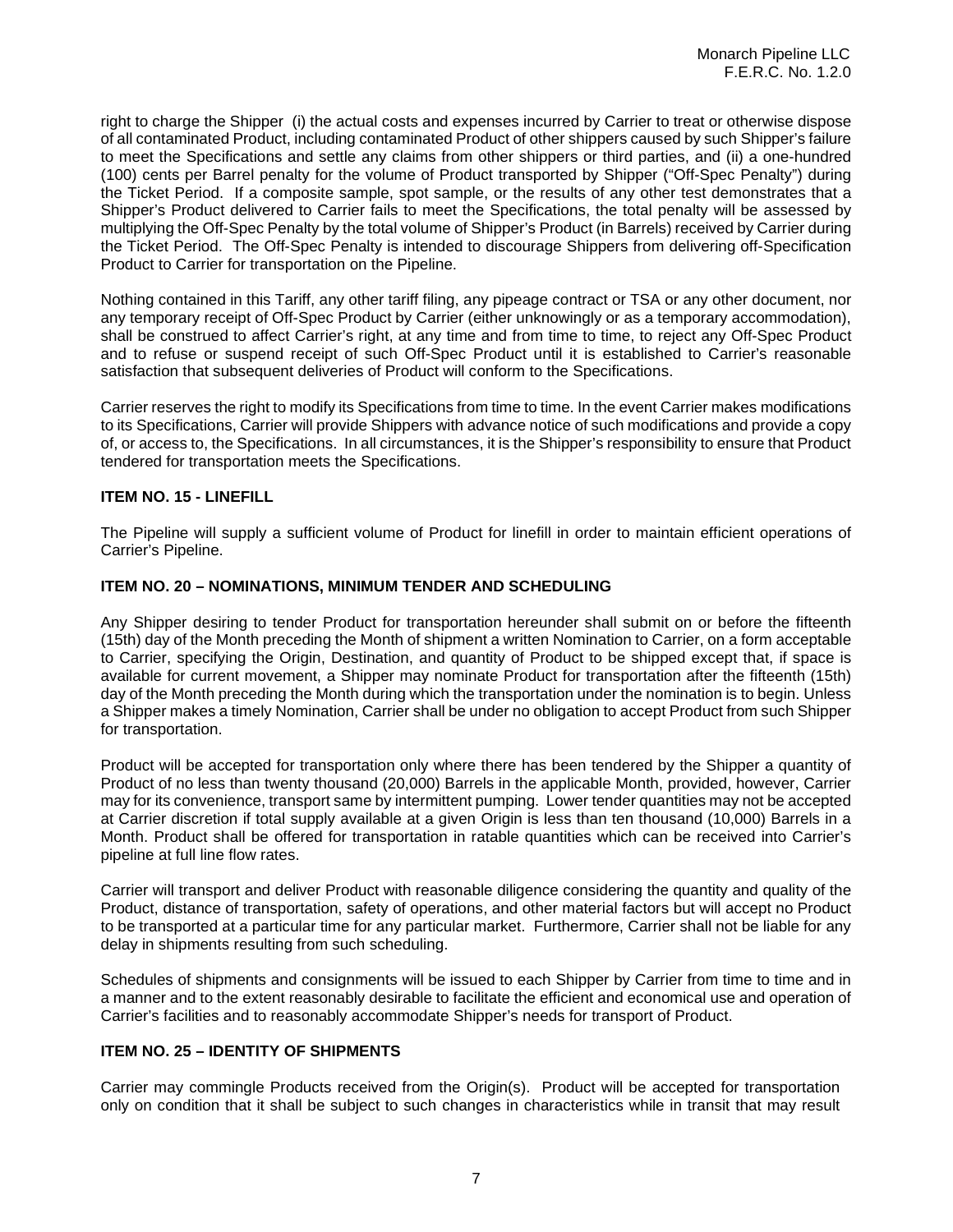right to charge the Shipper (i) the actual costs and expenses incurred by Carrier to treat or otherwise dispose of all contaminated Product, including contaminated Product of other shippers caused by such Shipper's failure to meet the Specifications and settle any claims from other shippers or third parties, and (ii) a one-hundred (100) cents per Barrel penalty for the volume of Product transported by Shipper ("Off-Spec Penalty") during the Ticket Period. If a composite sample, spot sample, or the results of any other test demonstrates that a Shipper's Product delivered to Carrier fails to meet the Specifications, the total penalty will be assessed by multiplying the Off-Spec Penalty by the total volume of Shipper's Product (in Barrels) received by Carrier during the Ticket Period. The Off-Spec Penalty is intended to discourage Shippers from delivering off-Specification Product to Carrier for transportation on the Pipeline.

Nothing contained in this Tariff, any other tariff filing, any pipeage contract or TSA or any other document, nor any temporary receipt of Off-Spec Product by Carrier (either unknowingly or as a temporary accommodation), shall be construed to affect Carrier's right, at any time and from time to time, to reject any Off-Spec Product and to refuse or suspend receipt of such Off-Spec Product until it is established to Carrier's reasonable satisfaction that subsequent deliveries of Product will conform to the Specifications.

Carrier reserves the right to modify its Specifications from time to time. In the event Carrier makes modifications to its Specifications, Carrier will provide Shippers with advance notice of such modifications and provide a copy of, or access to, the Specifications. In all circumstances, it is the Shipper's responsibility to ensure that Product tendered for transportation meets the Specifications.

# **ITEM NO. 15 - LINEFILL**

The Pipeline will supply a sufficient volume of Product for linefill in order to maintain efficient operations of Carrier's Pipeline.

## **ITEM NO. 20 – NOMINATIONS, MINIMUM TENDER AND SCHEDULING**

Any Shipper desiring to tender Product for transportation hereunder shall submit on or before the fifteenth (15th) day of the Month preceding the Month of shipment a written Nomination to Carrier, on a form acceptable to Carrier, specifying the Origin, Destination, and quantity of Product to be shipped except that, if space is available for current movement, a Shipper may nominate Product for transportation after the fifteenth (15th) day of the Month preceding the Month during which the transportation under the nomination is to begin. Unless a Shipper makes a timely Nomination, Carrier shall be under no obligation to accept Product from such Shipper for transportation.

Product will be accepted for transportation only where there has been tendered by the Shipper a quantity of Product of no less than twenty thousand (20,000) Barrels in the applicable Month, provided, however, Carrier may for its convenience, transport same by intermittent pumping. Lower tender quantities may not be accepted at Carrier discretion if total supply available at a given Origin is less than ten thousand (10,000) Barrels in a Month. Product shall be offered for transportation in ratable quantities which can be received into Carrier's pipeline at full line flow rates.

Carrier will transport and deliver Product with reasonable diligence considering the quantity and quality of the Product, distance of transportation, safety of operations, and other material factors but will accept no Product to be transported at a particular time for any particular market. Furthermore, Carrier shall not be liable for any delay in shipments resulting from such scheduling.

Schedules of shipments and consignments will be issued to each Shipper by Carrier from time to time and in a manner and to the extent reasonably desirable to facilitate the efficient and economical use and operation of Carrier's facilities and to reasonably accommodate Shipper's needs for transport of Product.

# **ITEM NO. 25 – IDENTITY OF SHIPMENTS**

Carrier may commingle Products received from the Origin(s). Product will be accepted for transportation only on condition that it shall be subject to such changes in characteristics while in transit that may result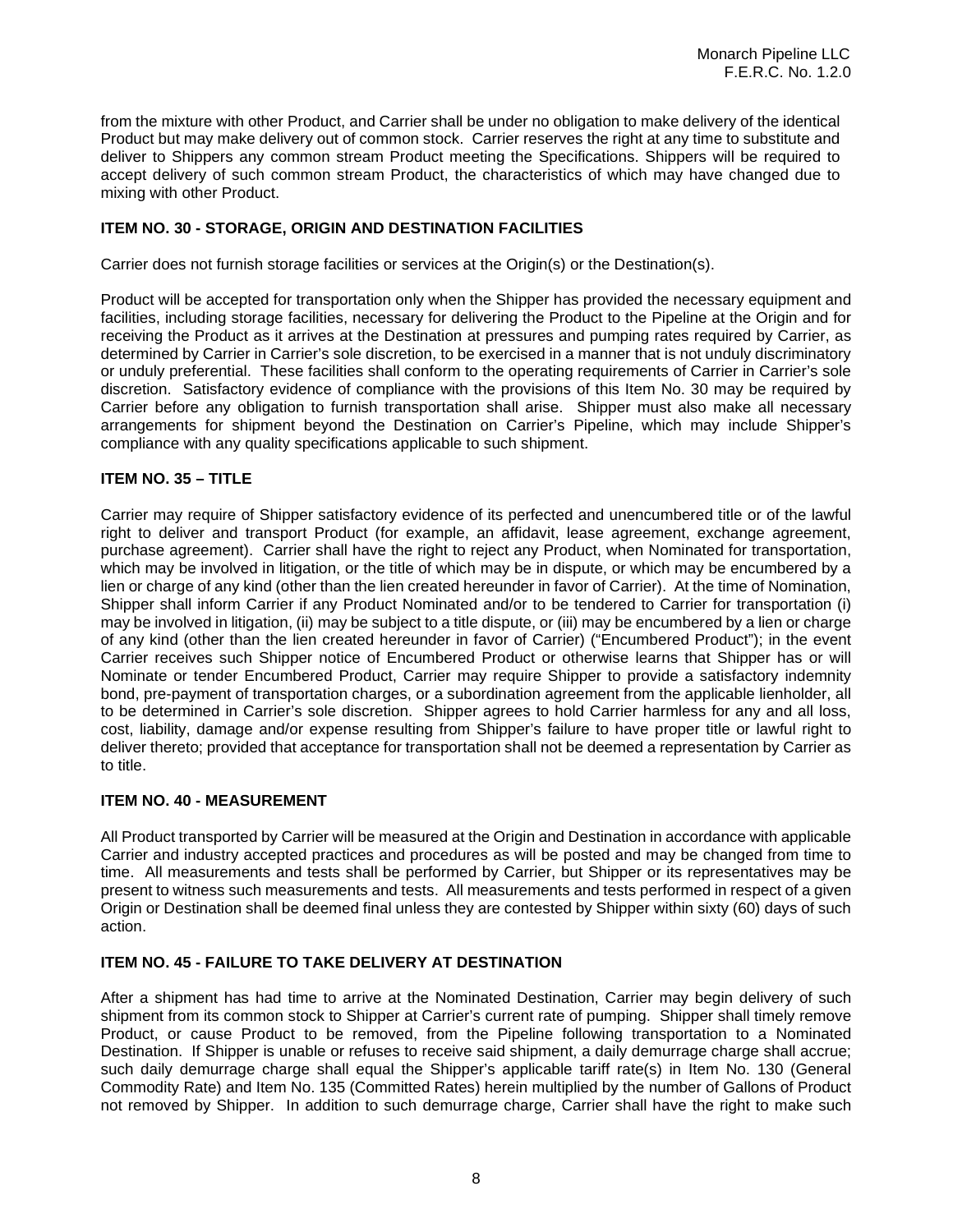from the mixture with other Product, and Carrier shall be under no obligation to make delivery of the identical Product but may make delivery out of common stock. Carrier reserves the right at any time to substitute and deliver to Shippers any common stream Product meeting the Specifications. Shippers will be required to accept delivery of such common stream Product, the characteristics of which may have changed due to mixing with other Product.

# **ITEM NO. 30 - STORAGE, ORIGIN AND DESTINATION FACILITIES**

Carrier does not furnish storage facilities or services at the Origin(s) or the Destination(s).

Product will be accepted for transportation only when the Shipper has provided the necessary equipment and facilities, including storage facilities, necessary for delivering the Product to the Pipeline at the Origin and for receiving the Product as it arrives at the Destination at pressures and pumping rates required by Carrier, as determined by Carrier in Carrier's sole discretion, to be exercised in a manner that is not unduly discriminatory or unduly preferential. These facilities shall conform to the operating requirements of Carrier in Carrier's sole discretion. Satisfactory evidence of compliance with the provisions of this Item No. 30 may be required by Carrier before any obligation to furnish transportation shall arise. Shipper must also make all necessary arrangements for shipment beyond the Destination on Carrier's Pipeline, which may include Shipper's compliance with any quality specifications applicable to such shipment.

## **ITEM NO. 35 – TITLE**

Carrier may require of Shipper satisfactory evidence of its perfected and unencumbered title or of the lawful right to deliver and transport Product (for example, an affidavit, lease agreement, exchange agreement, purchase agreement). Carrier shall have the right to reject any Product, when Nominated for transportation, which may be involved in litigation, or the title of which may be in dispute, or which may be encumbered by a lien or charge of any kind (other than the lien created hereunder in favor of Carrier). At the time of Nomination, Shipper shall inform Carrier if any Product Nominated and/or to be tendered to Carrier for transportation (i) may be involved in litigation, (ii) may be subject to a title dispute, or (iii) may be encumbered by a lien or charge of any kind (other than the lien created hereunder in favor of Carrier) ("Encumbered Product"); in the event Carrier receives such Shipper notice of Encumbered Product or otherwise learns that Shipper has or will Nominate or tender Encumbered Product, Carrier may require Shipper to provide a satisfactory indemnity bond, pre-payment of transportation charges, or a subordination agreement from the applicable lienholder, all to be determined in Carrier's sole discretion. Shipper agrees to hold Carrier harmless for any and all loss, cost, liability, damage and/or expense resulting from Shipper's failure to have proper title or lawful right to deliver thereto; provided that acceptance for transportation shall not be deemed a representation by Carrier as to title.

## **ITEM NO. 40 - MEASUREMENT**

All Product transported by Carrier will be measured at the Origin and Destination in accordance with applicable Carrier and industry accepted practices and procedures as will be posted and may be changed from time to time. All measurements and tests shall be performed by Carrier, but Shipper or its representatives may be present to witness such measurements and tests. All measurements and tests performed in respect of a given Origin or Destination shall be deemed final unless they are contested by Shipper within sixty (60) days of such action.

# **ITEM NO. 45 - FAILURE TO TAKE DELIVERY AT DESTINATION**

After a shipment has had time to arrive at the Nominated Destination, Carrier may begin delivery of such shipment from its common stock to Shipper at Carrier's current rate of pumping. Shipper shall timely remove Product, or cause Product to be removed, from the Pipeline following transportation to a Nominated Destination. If Shipper is unable or refuses to receive said shipment, a daily demurrage charge shall accrue; such daily demurrage charge shall equal the Shipper's applicable tariff rate(s) in Item No. 130 (General Commodity Rate) and Item No. 135 (Committed Rates) herein multiplied by the number of Gallons of Product not removed by Shipper. In addition to such demurrage charge, Carrier shall have the right to make such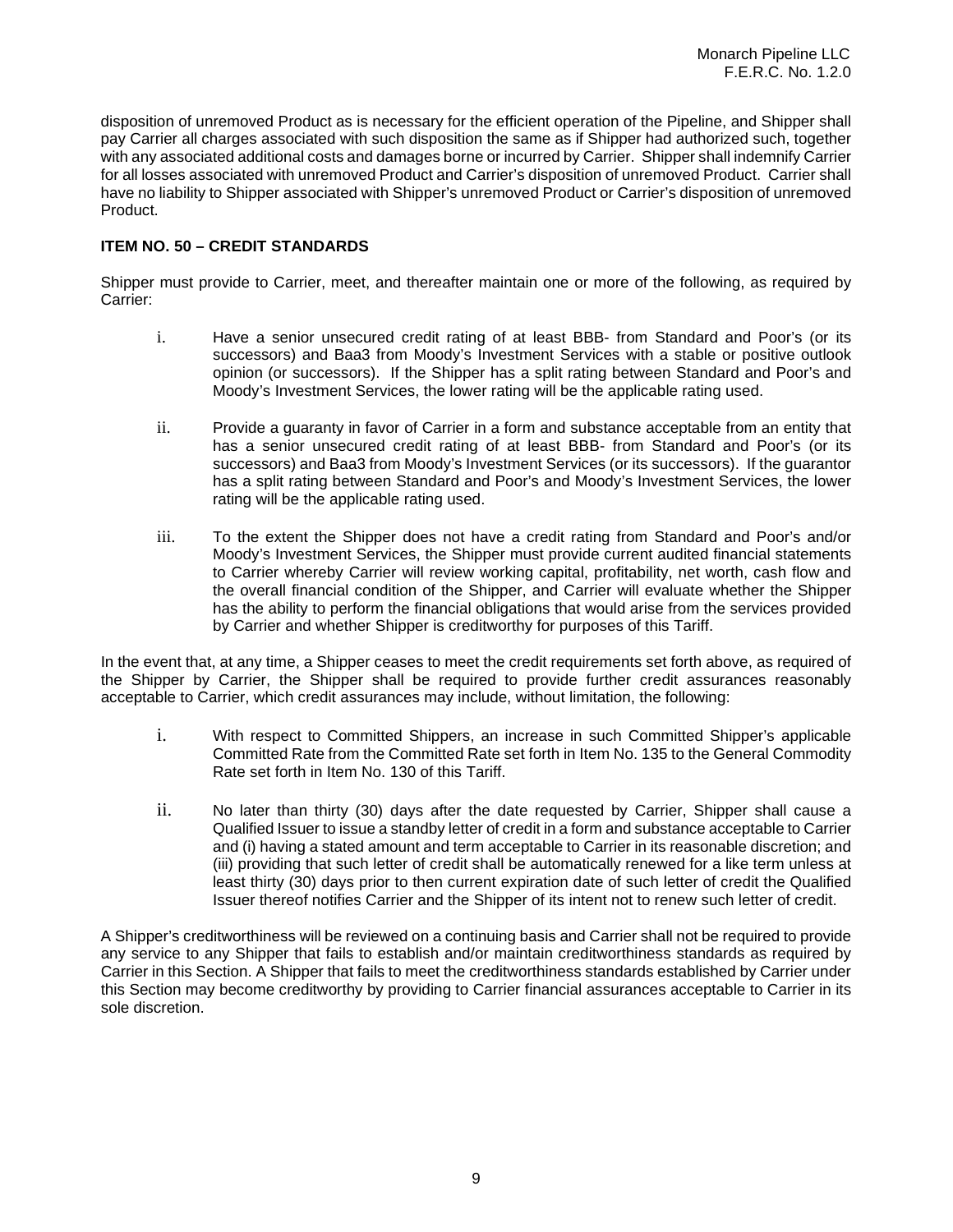disposition of unremoved Product as is necessary for the efficient operation of the Pipeline, and Shipper shall pay Carrier all charges associated with such disposition the same as if Shipper had authorized such, together with any associated additional costs and damages borne or incurred by Carrier. Shipper shall indemnify Carrier for all losses associated with unremoved Product and Carrier's disposition of unremoved Product. Carrier shall have no liability to Shipper associated with Shipper's unremoved Product or Carrier's disposition of unremoved Product.

# **ITEM NO. 50 – CREDIT STANDARDS**

Shipper must provide to Carrier, meet, and thereafter maintain one or more of the following, as required by Carrier:

- i. Have a senior unsecured credit rating of at least BBB- from Standard and Poor's (or its successors) and Baa3 from Moody's Investment Services with a stable or positive outlook opinion (or successors). If the Shipper has a split rating between Standard and Poor's and Moody's Investment Services, the lower rating will be the applicable rating used.
- ii. Provide a guaranty in favor of Carrier in a form and substance acceptable from an entity that has a senior unsecured credit rating of at least BBB- from Standard and Poor's (or its successors) and Baa3 from Moody's Investment Services (or its successors). If the guarantor has a split rating between Standard and Poor's and Moody's Investment Services, the lower rating will be the applicable rating used.
- iii. To the extent the Shipper does not have a credit rating from Standard and Poor's and/or Moody's Investment Services, the Shipper must provide current audited financial statements to Carrier whereby Carrier will review working capital, profitability, net worth, cash flow and the overall financial condition of the Shipper, and Carrier will evaluate whether the Shipper has the ability to perform the financial obligations that would arise from the services provided by Carrier and whether Shipper is creditworthy for purposes of this Tariff.

In the event that, at any time, a Shipper ceases to meet the credit requirements set forth above, as required of the Shipper by Carrier, the Shipper shall be required to provide further credit assurances reasonably acceptable to Carrier, which credit assurances may include, without limitation, the following:

- i. With respect to Committed Shippers, an increase in such Committed Shipper's applicable Committed Rate from the Committed Rate set forth in Item No. 135 to the General Commodity Rate set forth in Item No. 130 of this Tariff.
- ii. No later than thirty (30) days after the date requested by Carrier, Shipper shall cause a Qualified Issuer to issue a standby letter of credit in a form and substance acceptable to Carrier and (i) having a stated amount and term acceptable to Carrier in its reasonable discretion; and (iii) providing that such letter of credit shall be automatically renewed for a like term unless at least thirty (30) days prior to then current expiration date of such letter of credit the Qualified Issuer thereof notifies Carrier and the Shipper of its intent not to renew such letter of credit.

A Shipper's creditworthiness will be reviewed on a continuing basis and Carrier shall not be required to provide any service to any Shipper that fails to establish and/or maintain creditworthiness standards as required by Carrier in this Section. A Shipper that fails to meet the creditworthiness standards established by Carrier under this Section may become creditworthy by providing to Carrier financial assurances acceptable to Carrier in its sole discretion.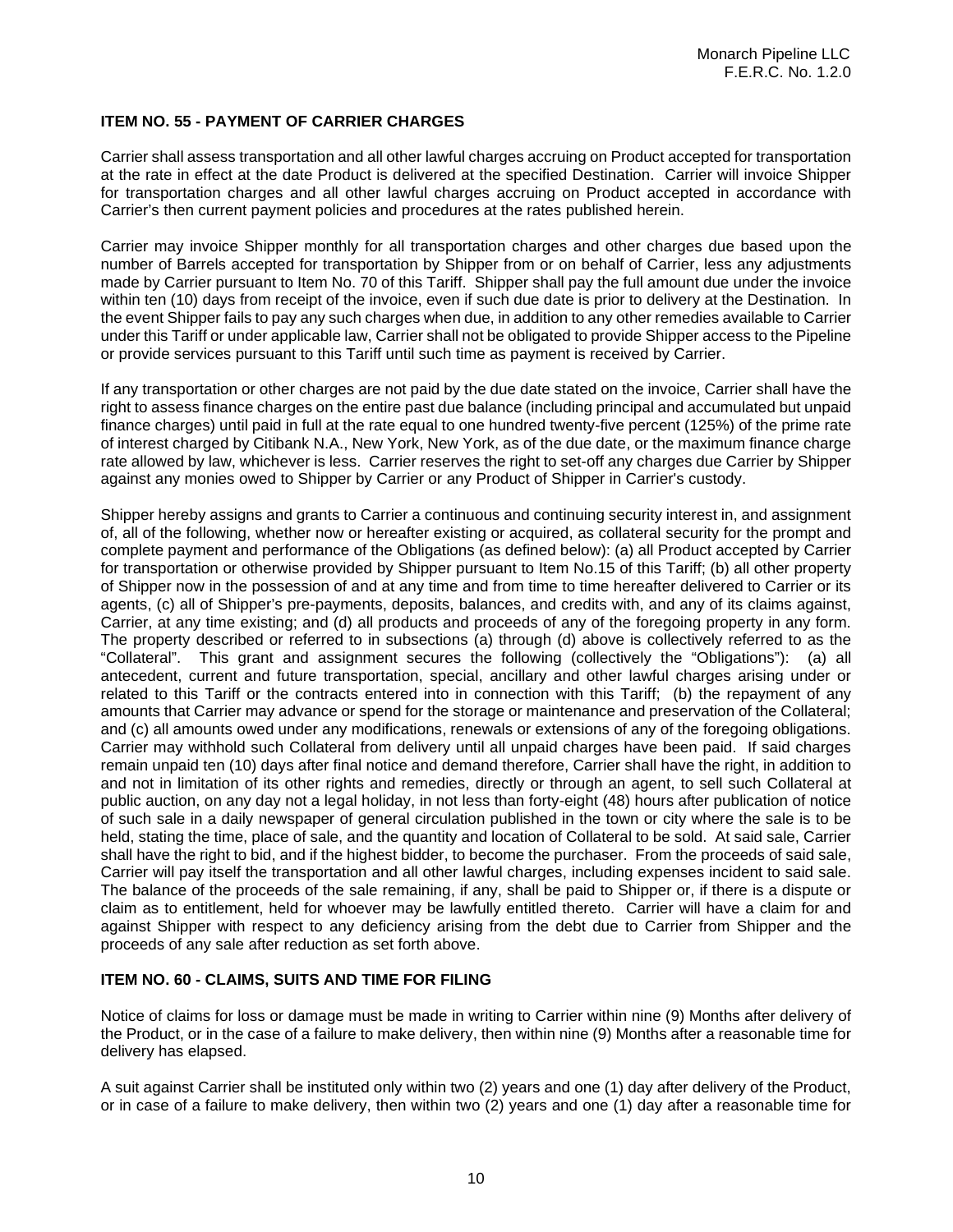# **ITEM NO. 55 - PAYMENT OF CARRIER CHARGES**

Carrier shall assess transportation and all other lawful charges accruing on Product accepted for transportation at the rate in effect at the date Product is delivered at the specified Destination. Carrier will invoice Shipper for transportation charges and all other lawful charges accruing on Product accepted in accordance with Carrier's then current payment policies and procedures at the rates published herein.

Carrier may invoice Shipper monthly for all transportation charges and other charges due based upon the number of Barrels accepted for transportation by Shipper from or on behalf of Carrier, less any adjustments made by Carrier pursuant to Item No. 70 of this Tariff. Shipper shall pay the full amount due under the invoice within ten (10) days from receipt of the invoice, even if such due date is prior to delivery at the Destination. In the event Shipper fails to pay any such charges when due, in addition to any other remedies available to Carrier under this Tariff or under applicable law, Carrier shall not be obligated to provide Shipper access to the Pipeline or provide services pursuant to this Tariff until such time as payment is received by Carrier.

If any transportation or other charges are not paid by the due date stated on the invoice, Carrier shall have the right to assess finance charges on the entire past due balance (including principal and accumulated but unpaid finance charges) until paid in full at the rate equal to one hundred twenty-five percent (125%) of the prime rate of interest charged by Citibank N.A., New York, New York, as of the due date, or the maximum finance charge rate allowed by law, whichever is less. Carrier reserves the right to set-off any charges due Carrier by Shipper against any monies owed to Shipper by Carrier or any Product of Shipper in Carrier's custody.

Shipper hereby assigns and grants to Carrier a continuous and continuing security interest in, and assignment of, all of the following, whether now or hereafter existing or acquired, as collateral security for the prompt and complete payment and performance of the Obligations (as defined below): (a) all Product accepted by Carrier for transportation or otherwise provided by Shipper pursuant to Item No.15 of this Tariff; (b) all other property of Shipper now in the possession of and at any time and from time to time hereafter delivered to Carrier or its agents, (c) all of Shipper's pre-payments, deposits, balances, and credits with, and any of its claims against, Carrier, at any time existing; and (d) all products and proceeds of any of the foregoing property in any form. The property described or referred to in subsections (a) through (d) above is collectively referred to as the "Collateral". This grant and assignment secures the following (collectively the "Obligations"): (a) all antecedent, current and future transportation, special, ancillary and other lawful charges arising under or related to this Tariff or the contracts entered into in connection with this Tariff; (b) the repayment of any amounts that Carrier may advance or spend for the storage or maintenance and preservation of the Collateral; and (c) all amounts owed under any modifications, renewals or extensions of any of the foregoing obligations. Carrier may withhold such Collateral from delivery until all unpaid charges have been paid. If said charges remain unpaid ten (10) days after final notice and demand therefore, Carrier shall have the right, in addition to and not in limitation of its other rights and remedies, directly or through an agent, to sell such Collateral at public auction, on any day not a legal holiday, in not less than forty-eight (48) hours after publication of notice of such sale in a daily newspaper of general circulation published in the town or city where the sale is to be held, stating the time, place of sale, and the quantity and location of Collateral to be sold. At said sale, Carrier shall have the right to bid, and if the highest bidder, to become the purchaser. From the proceeds of said sale, Carrier will pay itself the transportation and all other lawful charges, including expenses incident to said sale. The balance of the proceeds of the sale remaining, if any, shall be paid to Shipper or, if there is a dispute or claim as to entitlement, held for whoever may be lawfully entitled thereto. Carrier will have a claim for and against Shipper with respect to any deficiency arising from the debt due to Carrier from Shipper and the proceeds of any sale after reduction as set forth above.

# **ITEM NO. 60 - CLAIMS, SUITS AND TIME FOR FILING**

Notice of claims for loss or damage must be made in writing to Carrier within nine (9) Months after delivery of the Product, or in the case of a failure to make delivery, then within nine (9) Months after a reasonable time for delivery has elapsed.

A suit against Carrier shall be instituted only within two (2) years and one (1) day after delivery of the Product, or in case of a failure to make delivery, then within two (2) years and one (1) day after a reasonable time for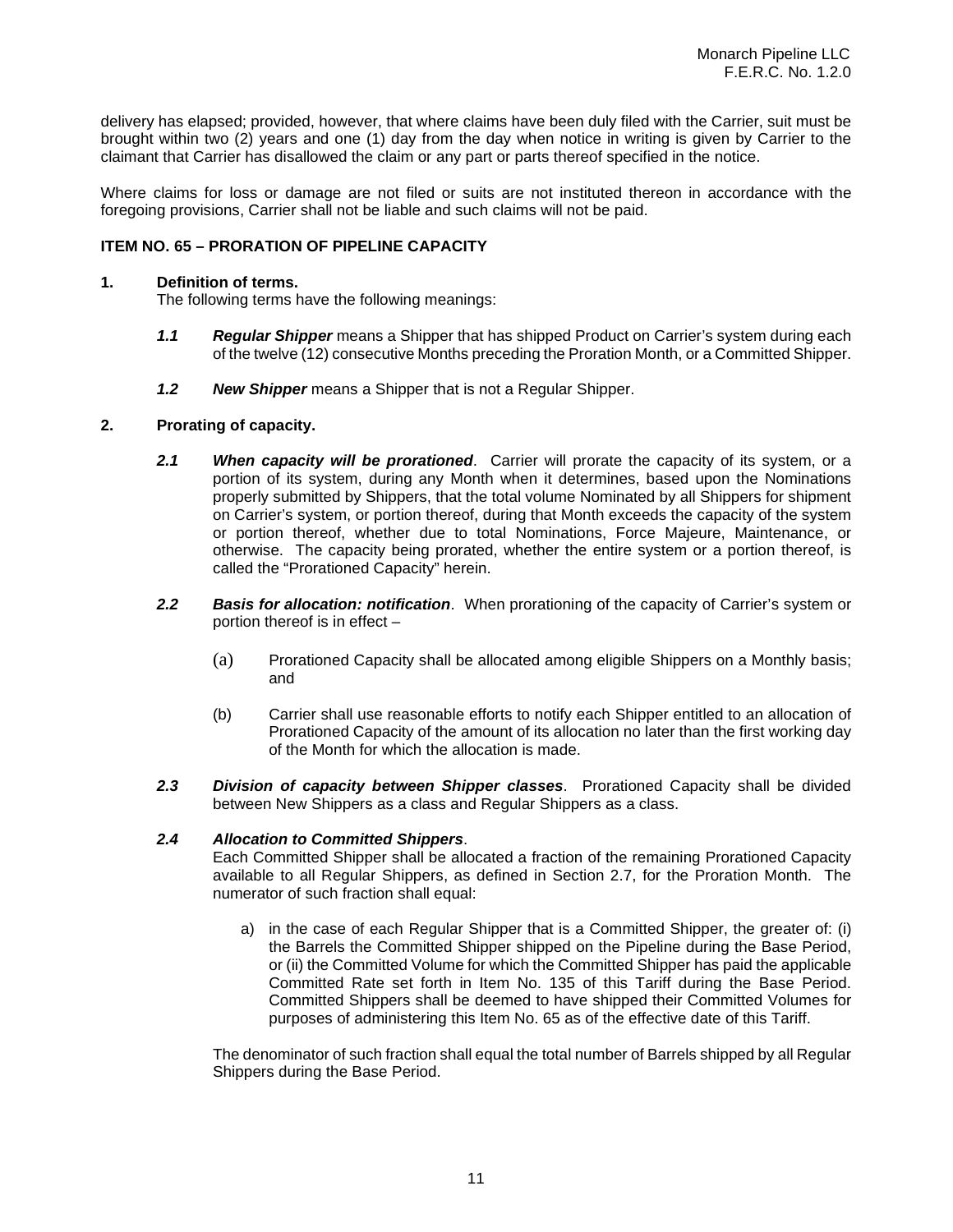delivery has elapsed; provided, however, that where claims have been duly filed with the Carrier, suit must be brought within two (2) years and one (1) day from the day when notice in writing is given by Carrier to the claimant that Carrier has disallowed the claim or any part or parts thereof specified in the notice.

Where claims for loss or damage are not filed or suits are not instituted thereon in accordance with the foregoing provisions, Carrier shall not be liable and such claims will not be paid.

## **ITEM NO. 65 – PRORATION OF PIPELINE CAPACITY**

## **1. Definition of terms.**

The following terms have the following meanings:

- *1.1 Regular Shipper* means a Shipper that has shipped Product on Carrier's system during each of the twelve (12) consecutive Months preceding the Proration Month, or a Committed Shipper.
- *1.2 New Shipper* means a Shipper that is not a Regular Shipper.

## **2. Prorating of capacity.**

- *2.1 When capacity will be prorationed*. Carrier will prorate the capacity of its system, or a portion of its system, during any Month when it determines, based upon the Nominations properly submitted by Shippers, that the total volume Nominated by all Shippers for shipment on Carrier's system, or portion thereof, during that Month exceeds the capacity of the system or portion thereof, whether due to total Nominations, Force Majeure, Maintenance, or otherwise. The capacity being prorated, whether the entire system or a portion thereof, is called the "Prorationed Capacity" herein.
- *2.2 Basis for allocation: notification*. When prorationing of the capacity of Carrier's system or portion thereof is in effect –
	- (a) Prorationed Capacity shall be allocated among eligible Shippers on a Monthly basis; and
	- (b) Carrier shall use reasonable efforts to notify each Shipper entitled to an allocation of Prorationed Capacity of the amount of its allocation no later than the first working day of the Month for which the allocation is made.
- *2.3 Division of capacity between Shipper classes*. Prorationed Capacity shall be divided between New Shippers as a class and Regular Shippers as a class.

## *2.4 Allocation to Committed Shippers*.

Each Committed Shipper shall be allocated a fraction of the remaining Prorationed Capacity available to all Regular Shippers, as defined in Section 2.7, for the Proration Month. The numerator of such fraction shall equal:

a) in the case of each Regular Shipper that is a Committed Shipper, the greater of: (i) the Barrels the Committed Shipper shipped on the Pipeline during the Base Period, or (ii) the Committed Volume for which the Committed Shipper has paid the applicable Committed Rate set forth in Item No. 135 of this Tariff during the Base Period. Committed Shippers shall be deemed to have shipped their Committed Volumes for purposes of administering this Item No. 65 as of the effective date of this Tariff.

The denominator of such fraction shall equal the total number of Barrels shipped by all Regular Shippers during the Base Period.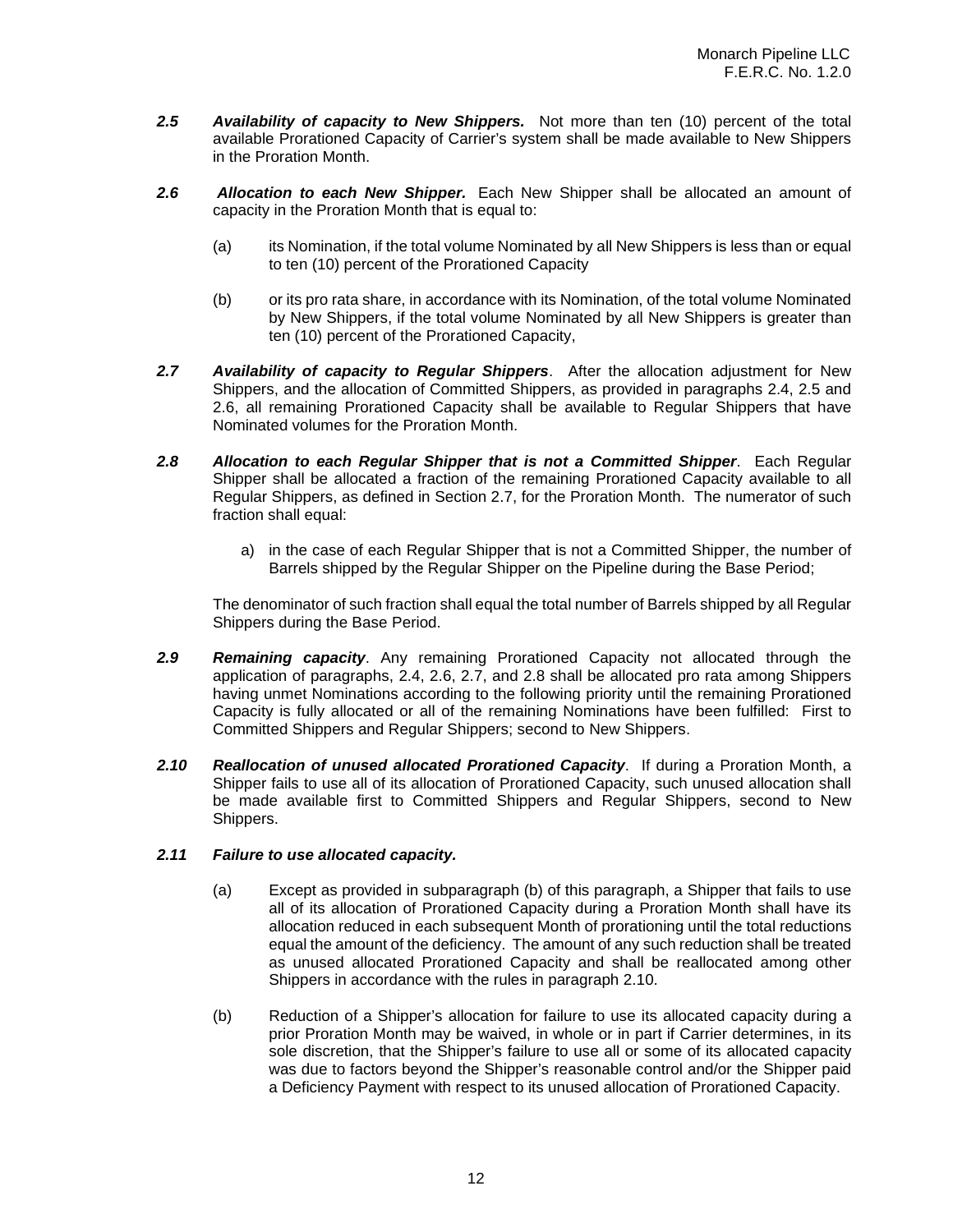- *2.5 Availability of capacity to New Shippers.* Not more than ten (10) percent of the total available Prorationed Capacity of Carrier's system shall be made available to New Shippers in the Proration Month.
- *2.6 Allocation to each New Shipper.* Each New Shipper shall be allocated an amount of capacity in the Proration Month that is equal to:
	- (a) its Nomination, if the total volume Nominated by all New Shippers is less than or equal to ten (10) percent of the Prorationed Capacity
	- (b) or its pro rata share, in accordance with its Nomination, of the total volume Nominated by New Shippers, if the total volume Nominated by all New Shippers is greater than ten (10) percent of the Prorationed Capacity,
- *2.7 Availability of capacity to Regular Shippers*. After the allocation adjustment for New Shippers, and the allocation of Committed Shippers, as provided in paragraphs 2.4, 2.5 and 2.6, all remaining Prorationed Capacity shall be available to Regular Shippers that have Nominated volumes for the Proration Month.
- *2.8 Allocation to each Regular Shipper that is not a Committed Shipper*. Each Regular Shipper shall be allocated a fraction of the remaining Prorationed Capacity available to all Regular Shippers, as defined in Section 2.7, for the Proration Month. The numerator of such fraction shall equal:
	- a) in the case of each Regular Shipper that is not a Committed Shipper, the number of Barrels shipped by the Regular Shipper on the Pipeline during the Base Period;

The denominator of such fraction shall equal the total number of Barrels shipped by all Regular Shippers during the Base Period.

- *2.9 Remaining capacity*. Any remaining Prorationed Capacity not allocated through the application of paragraphs, 2.4, 2.6, 2.7, and 2.8 shall be allocated pro rata among Shippers having unmet Nominations according to the following priority until the remaining Prorationed Capacity is fully allocated or all of the remaining Nominations have been fulfilled: First to Committed Shippers and Regular Shippers; second to New Shippers.
- *2.10 Reallocation of unused allocated Prorationed Capacity*. If during a Proration Month, a Shipper fails to use all of its allocation of Prorationed Capacity, such unused allocation shall be made available first to Committed Shippers and Regular Shippers, second to New Shippers.

## *2.11 Failure to use allocated capacity.*

- (a) Except as provided in subparagraph (b) of this paragraph, a Shipper that fails to use all of its allocation of Prorationed Capacity during a Proration Month shall have its allocation reduced in each subsequent Month of prorationing until the total reductions equal the amount of the deficiency. The amount of any such reduction shall be treated as unused allocated Prorationed Capacity and shall be reallocated among other Shippers in accordance with the rules in paragraph 2.10.
- (b) Reduction of a Shipper's allocation for failure to use its allocated capacity during a prior Proration Month may be waived, in whole or in part if Carrier determines, in its sole discretion, that the Shipper's failure to use all or some of its allocated capacity was due to factors beyond the Shipper's reasonable control and/or the Shipper paid a Deficiency Payment with respect to its unused allocation of Prorationed Capacity.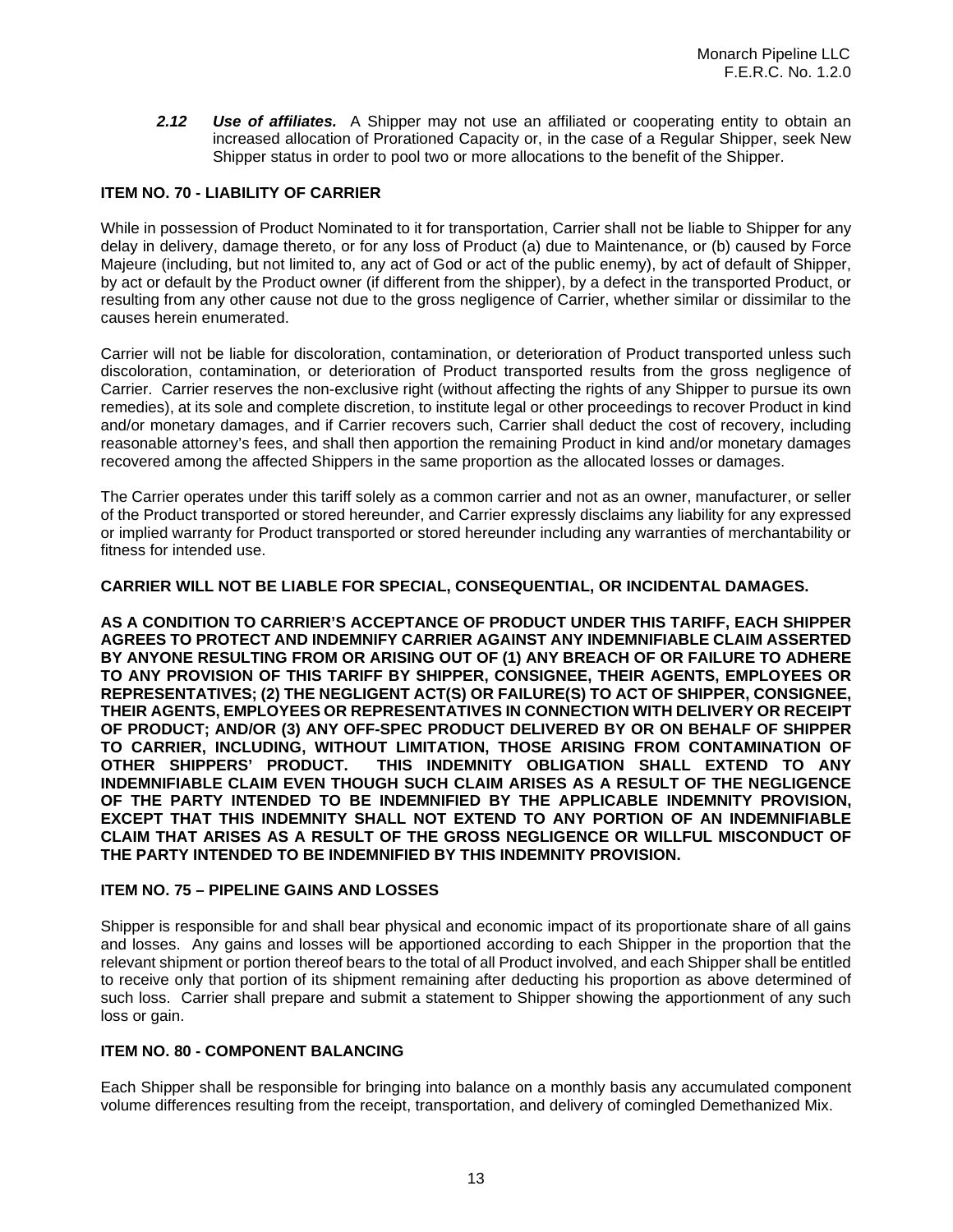*2.12 Use of affiliates.* A Shipper may not use an affiliated or cooperating entity to obtain an increased allocation of Prorationed Capacity or, in the case of a Regular Shipper, seek New Shipper status in order to pool two or more allocations to the benefit of the Shipper.

# **ITEM NO. 70 - LIABILITY OF CARRIER**

While in possession of Product Nominated to it for transportation, Carrier shall not be liable to Shipper for any delay in delivery, damage thereto, or for any loss of Product (a) due to Maintenance, or (b) caused by Force Majeure (including, but not limited to, any act of God or act of the public enemy), by act of default of Shipper, by act or default by the Product owner (if different from the shipper), by a defect in the transported Product, or resulting from any other cause not due to the gross negligence of Carrier, whether similar or dissimilar to the causes herein enumerated.

Carrier will not be liable for discoloration, contamination, or deterioration of Product transported unless such discoloration, contamination, or deterioration of Product transported results from the gross negligence of Carrier. Carrier reserves the non-exclusive right (without affecting the rights of any Shipper to pursue its own remedies), at its sole and complete discretion, to institute legal or other proceedings to recover Product in kind and/or monetary damages, and if Carrier recovers such, Carrier shall deduct the cost of recovery, including reasonable attorney's fees, and shall then apportion the remaining Product in kind and/or monetary damages recovered among the affected Shippers in the same proportion as the allocated losses or damages.

The Carrier operates under this tariff solely as a common carrier and not as an owner, manufacturer, or seller of the Product transported or stored hereunder, and Carrier expressly disclaims any liability for any expressed or implied warranty for Product transported or stored hereunder including any warranties of merchantability or fitness for intended use.

## **CARRIER WILL NOT BE LIABLE FOR SPECIAL, CONSEQUENTIAL, OR INCIDENTAL DAMAGES.**

**AS A CONDITION TO CARRIER'S ACCEPTANCE OF PRODUCT UNDER THIS TARIFF, EACH SHIPPER AGREES TO PROTECT AND INDEMNIFY CARRIER AGAINST ANY INDEMNIFIABLE CLAIM ASSERTED BY ANYONE RESULTING FROM OR ARISING OUT OF (1) ANY BREACH OF OR FAILURE TO ADHERE TO ANY PROVISION OF THIS TARIFF BY SHIPPER, CONSIGNEE, THEIR AGENTS, EMPLOYEES OR REPRESENTATIVES; (2) THE NEGLIGENT ACT(S) OR FAILURE(S) TO ACT OF SHIPPER, CONSIGNEE, THEIR AGENTS, EMPLOYEES OR REPRESENTATIVES IN CONNECTION WITH DELIVERY OR RECEIPT OF PRODUCT; AND/OR (3) ANY OFF-SPEC PRODUCT DELIVERED BY OR ON BEHALF OF SHIPPER TO CARRIER, INCLUDING, WITHOUT LIMITATION, THOSE ARISING FROM CONTAMINATION OF OTHER SHIPPERS' PRODUCT. THIS INDEMNITY OBLIGATION SHALL EXTEND TO ANY INDEMNIFIABLE CLAIM EVEN THOUGH SUCH CLAIM ARISES AS A RESULT OF THE NEGLIGENCE OF THE PARTY INTENDED TO BE INDEMNIFIED BY THE APPLICABLE INDEMNITY PROVISION, EXCEPT THAT THIS INDEMNITY SHALL NOT EXTEND TO ANY PORTION OF AN INDEMNIFIABLE CLAIM THAT ARISES AS A RESULT OF THE GROSS NEGLIGENCE OR WILLFUL MISCONDUCT OF THE PARTY INTENDED TO BE INDEMNIFIED BY THIS INDEMNITY PROVISION.**

## **ITEM NO. 75 – PIPELINE GAINS AND LOSSES**

Shipper is responsible for and shall bear physical and economic impact of its proportionate share of all gains and losses. Any gains and losses will be apportioned according to each Shipper in the proportion that the relevant shipment or portion thereof bears to the total of all Product involved, and each Shipper shall be entitled to receive only that portion of its shipment remaining after deducting his proportion as above determined of such loss. Carrier shall prepare and submit a statement to Shipper showing the apportionment of any such loss or gain.

## **ITEM NO. 80 - COMPONENT BALANCING**

Each Shipper shall be responsible for bringing into balance on a monthly basis any accumulated component volume differences resulting from the receipt, transportation, and delivery of comingled Demethanized Mix.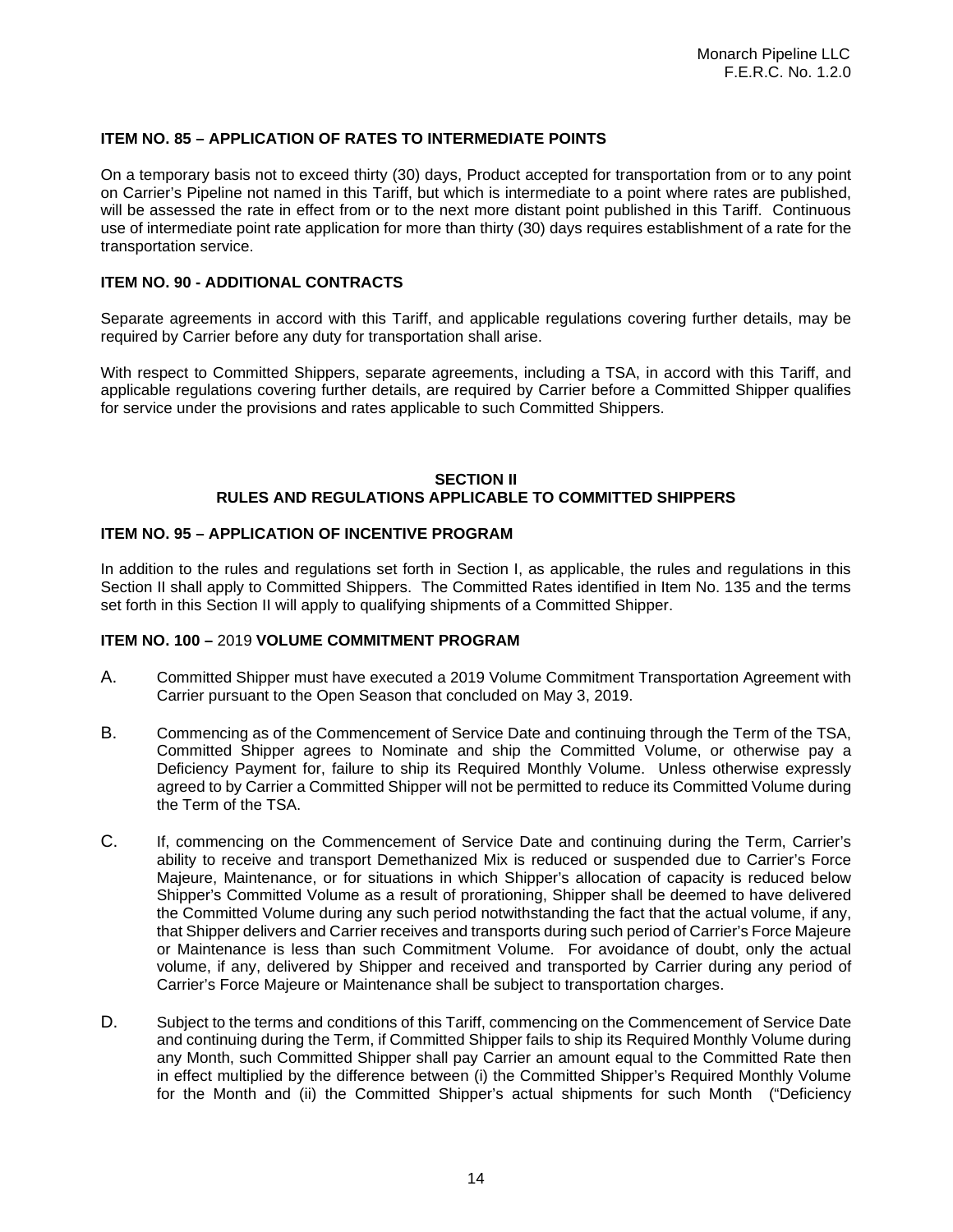## **ITEM NO. 85 – APPLICATION OF RATES TO INTERMEDIATE POINTS**

On a temporary basis not to exceed thirty (30) days, Product accepted for transportation from or to any point on Carrier's Pipeline not named in this Tariff, but which is intermediate to a point where rates are published, will be assessed the rate in effect from or to the next more distant point published in this Tariff. Continuous use of intermediate point rate application for more than thirty (30) days requires establishment of a rate for the transportation service.

## **ITEM NO. 90 - ADDITIONAL CONTRACTS**

Separate agreements in accord with this Tariff, and applicable regulations covering further details, may be required by Carrier before any duty for transportation shall arise.

With respect to Committed Shippers, separate agreements, including a TSA, in accord with this Tariff, and applicable regulations covering further details, are required by Carrier before a Committed Shipper qualifies for service under the provisions and rates applicable to such Committed Shippers.

## **SECTION II RULES AND REGULATIONS APPLICABLE TO COMMITTED SHIPPERS**

## **ITEM NO. 95 – APPLICATION OF INCENTIVE PROGRAM**

In addition to the rules and regulations set forth in Section I, as applicable, the rules and regulations in this Section II shall apply to Committed Shippers. The Committed Rates identified in Item No. 135 and the terms set forth in this Section II will apply to qualifying shipments of a Committed Shipper.

## **ITEM NO. 100 –** 2019 **VOLUME COMMITMENT PROGRAM**

- A. Committed Shipper must have executed a 2019 Volume Commitment Transportation Agreement with Carrier pursuant to the Open Season that concluded on May 3, 2019.
- B. Commencing as of the Commencement of Service Date and continuing through the Term of the TSA, Committed Shipper agrees to Nominate and ship the Committed Volume, or otherwise pay a Deficiency Payment for, failure to ship its Required Monthly Volume. Unless otherwise expressly agreed to by Carrier a Committed Shipper will not be permitted to reduce its Committed Volume during the Term of the TSA.
- C. If, commencing on the Commencement of Service Date and continuing during the Term, Carrier's ability to receive and transport Demethanized Mix is reduced or suspended due to Carrier's Force Majeure, Maintenance, or for situations in which Shipper's allocation of capacity is reduced below Shipper's Committed Volume as a result of prorationing, Shipper shall be deemed to have delivered the Committed Volume during any such period notwithstanding the fact that the actual volume, if any, that Shipper delivers and Carrier receives and transports during such period of Carrier's Force Majeure or Maintenance is less than such Commitment Volume. For avoidance of doubt, only the actual volume, if any, delivered by Shipper and received and transported by Carrier during any period of Carrier's Force Majeure or Maintenance shall be subject to transportation charges.
- D. Subject to the terms and conditions of this Tariff, commencing on the Commencement of Service Date and continuing during the Term, if Committed Shipper fails to ship its Required Monthly Volume during any Month, such Committed Shipper shall pay Carrier an amount equal to the Committed Rate then in effect multiplied by the difference between (i) the Committed Shipper's Required Monthly Volume for the Month and (ii) the Committed Shipper's actual shipments for such Month ("Deficiency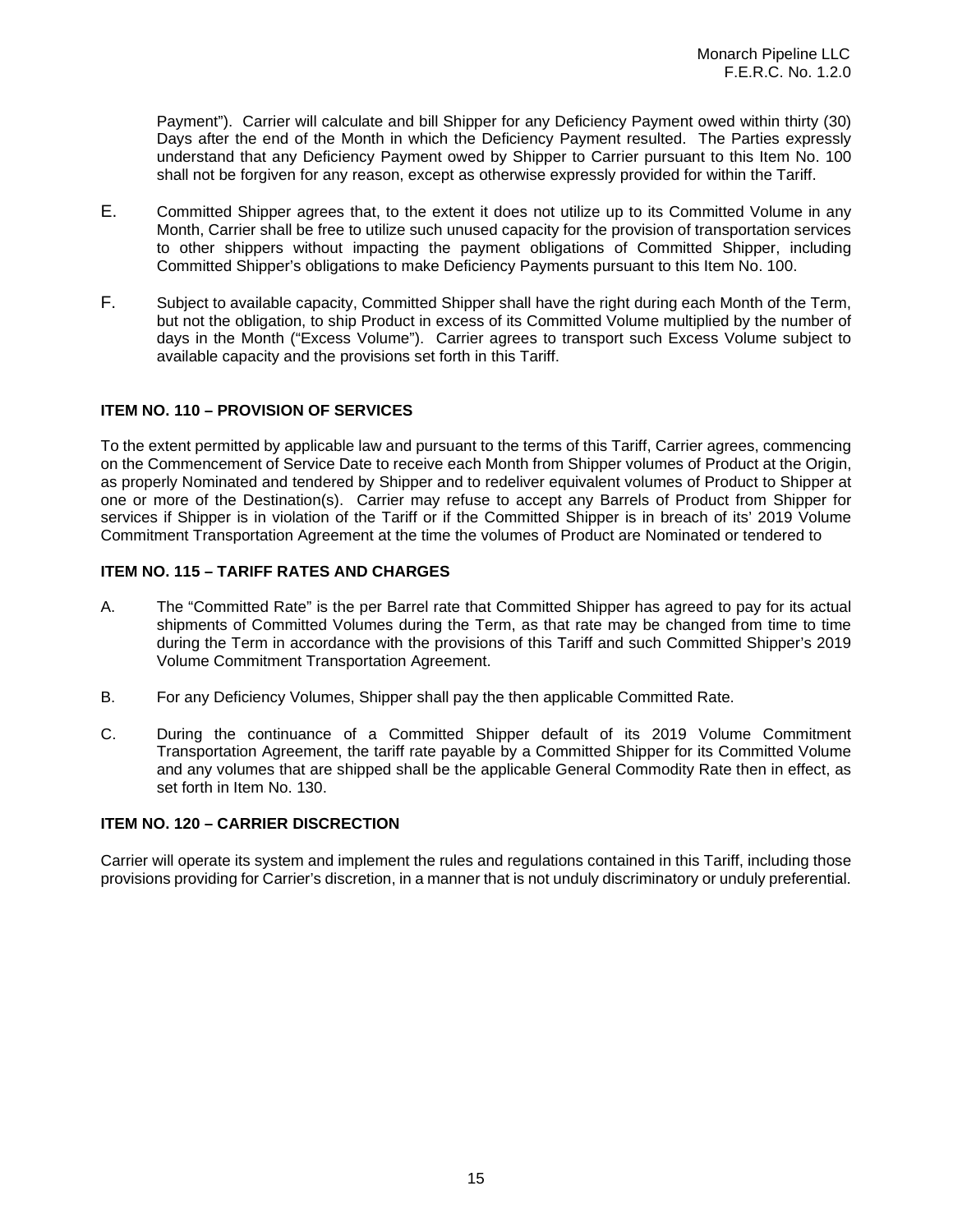Payment"). Carrier will calculate and bill Shipper for any Deficiency Payment owed within thirty (30) Days after the end of the Month in which the Deficiency Payment resulted. The Parties expressly understand that any Deficiency Payment owed by Shipper to Carrier pursuant to this Item No. 100 shall not be forgiven for any reason, except as otherwise expressly provided for within the Tariff.

- E. Committed Shipper agrees that, to the extent it does not utilize up to its Committed Volume in any Month, Carrier shall be free to utilize such unused capacity for the provision of transportation services to other shippers without impacting the payment obligations of Committed Shipper, including Committed Shipper's obligations to make Deficiency Payments pursuant to this Item No. 100.
- F. Subject to available capacity, Committed Shipper shall have the right during each Month of the Term, but not the obligation, to ship Product in excess of its Committed Volume multiplied by the number of days in the Month ("Excess Volume"). Carrier agrees to transport such Excess Volume subject to available capacity and the provisions set forth in this Tariff.

# **ITEM NO. 110 – PROVISION OF SERVICES**

To the extent permitted by applicable law and pursuant to the terms of this Tariff, Carrier agrees, commencing on the Commencement of Service Date to receive each Month from Shipper volumes of Product at the Origin, as properly Nominated and tendered by Shipper and to redeliver equivalent volumes of Product to Shipper at one or more of the Destination(s). Carrier may refuse to accept any Barrels of Product from Shipper for services if Shipper is in violation of the Tariff or if the Committed Shipper is in breach of its' 2019 Volume Commitment Transportation Agreement at the time the volumes of Product are Nominated or tendered to

## **ITEM NO. 115 – TARIFF RATES AND CHARGES**

- A. The "Committed Rate" is the per Barrel rate that Committed Shipper has agreed to pay for its actual shipments of Committed Volumes during the Term, as that rate may be changed from time to time during the Term in accordance with the provisions of this Tariff and such Committed Shipper's 2019 Volume Commitment Transportation Agreement.
- B. For any Deficiency Volumes, Shipper shall pay the then applicable Committed Rate.
- C. During the continuance of a Committed Shipper default of its 2019 Volume Commitment Transportation Agreement, the tariff rate payable by a Committed Shipper for its Committed Volume and any volumes that are shipped shall be the applicable General Commodity Rate then in effect, as set forth in Item No. 130.

## **ITEM NO. 120 – CARRIER DISCRECTION**

Carrier will operate its system and implement the rules and regulations contained in this Tariff, including those provisions providing for Carrier's discretion, in a manner that is not unduly discriminatory or unduly preferential.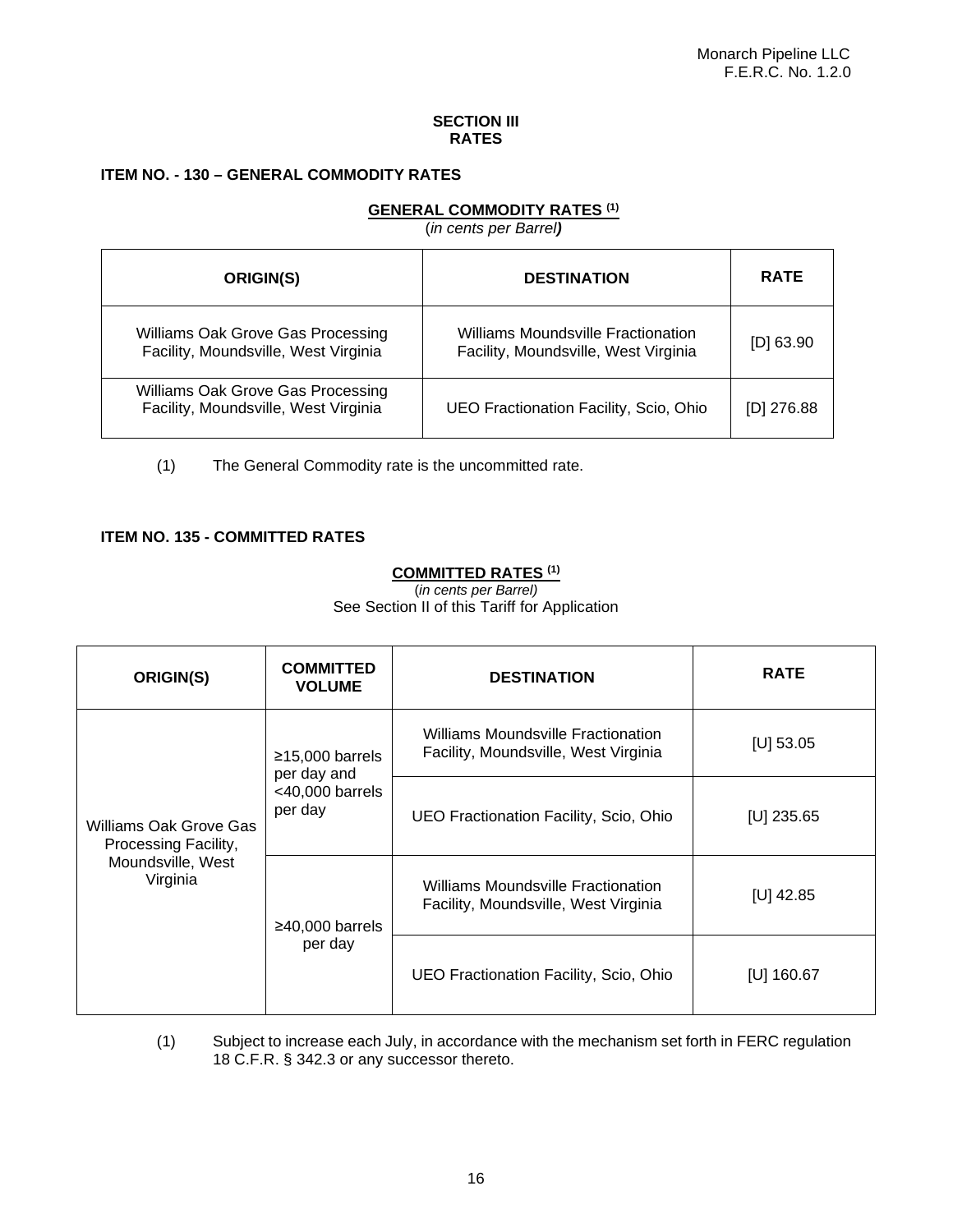## **SECTION III RATES**

# **ITEM NO. - 130 – GENERAL COMMODITY RATES**

# **GENERAL COMMODITY RATES (1)**

(*in cents per Barrel)*

| ORIGIN(S)                                                                 | <b>DESTINATION</b>                                                         | <b>RATE</b>  |
|---------------------------------------------------------------------------|----------------------------------------------------------------------------|--------------|
| Williams Oak Grove Gas Processing<br>Facility, Moundsville, West Virginia | Williams Moundsville Fractionation<br>Facility, Moundsville, West Virginia | $[D]$ 63.90  |
| Williams Oak Grove Gas Processing<br>Facility, Moundsville, West Virginia | UEO Fractionation Facility, Scio, Ohio                                     | $[D]$ 276.88 |

(1) The General Commodity rate is the uncommitted rate.

## **ITEM NO. 135 - COMMITTED RATES**

# **COMMITTED RATES (1)**

(*in cents per Barrel)*

See Section II of this Tariff for Application

| ORIGIN(S)                                                                       | <b>COMMITTED</b><br><b>VOLUME</b>                                 | <b>DESTINATION</b>                                                         | <b>RATE</b>  |
|---------------------------------------------------------------------------------|-------------------------------------------------------------------|----------------------------------------------------------------------------|--------------|
| Williams Oak Grove Gas<br>Processing Facility,<br>Moundsville, West<br>Virginia | $≥15,000$ barrels<br>per day and<br>$<$ 40,000 barrels<br>per day | Williams Moundsville Fractionation<br>Facility, Moundsville, West Virginia | $[U]$ 53.05  |
|                                                                                 |                                                                   | UEO Fractionation Facility, Scio, Ohio                                     | $[U]$ 235.65 |
|                                                                                 | $\geq$ 40,000 barrels<br>per day                                  | Williams Moundsville Fractionation<br>Facility, Moundsville, West Virginia | [U] $42.85$  |
|                                                                                 |                                                                   | UEO Fractionation Facility, Scio, Ohio                                     | [U] $160.67$ |

(1) Subject to increase each July, in accordance with the mechanism set forth in FERC regulation 18 C.F.R. § 342.3 or any successor thereto.